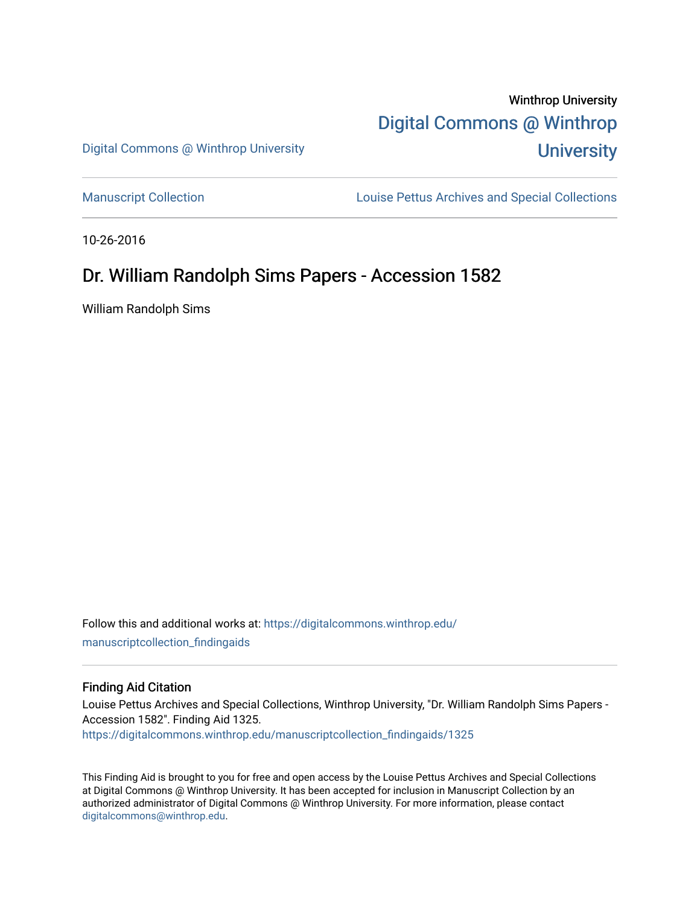# Winthrop University [Digital Commons @ Winthrop](https://digitalcommons.winthrop.edu/)  **University**

Digital Commons @ Winthrop University

[Manuscript Collection](https://digitalcommons.winthrop.edu/manuscriptcollection_findingaids) **Louise Pettus Archives and Special Collections** 

10-26-2016

# Dr. William Randolph Sims Papers - Accession 1582

William Randolph Sims

Follow this and additional works at: [https://digitalcommons.winthrop.edu/](https://digitalcommons.winthrop.edu/manuscriptcollection_findingaids?utm_source=digitalcommons.winthrop.edu%2Fmanuscriptcollection_findingaids%2F1325&utm_medium=PDF&utm_campaign=PDFCoverPages) [manuscriptcollection\\_findingaids](https://digitalcommons.winthrop.edu/manuscriptcollection_findingaids?utm_source=digitalcommons.winthrop.edu%2Fmanuscriptcollection_findingaids%2F1325&utm_medium=PDF&utm_campaign=PDFCoverPages) 

#### Finding Aid Citation

Louise Pettus Archives and Special Collections, Winthrop University, "Dr. William Randolph Sims Papers - Accession 1582". Finding Aid 1325. [https://digitalcommons.winthrop.edu/manuscriptcollection\\_findingaids/1325](https://digitalcommons.winthrop.edu/manuscriptcollection_findingaids/1325?utm_source=digitalcommons.winthrop.edu%2Fmanuscriptcollection_findingaids%2F1325&utm_medium=PDF&utm_campaign=PDFCoverPages) 

This Finding Aid is brought to you for free and open access by the Louise Pettus Archives and Special Collections at Digital Commons @ Winthrop University. It has been accepted for inclusion in Manuscript Collection by an authorized administrator of Digital Commons @ Winthrop University. For more information, please contact [digitalcommons@winthrop.edu](mailto:digitalcommons@winthrop.edu).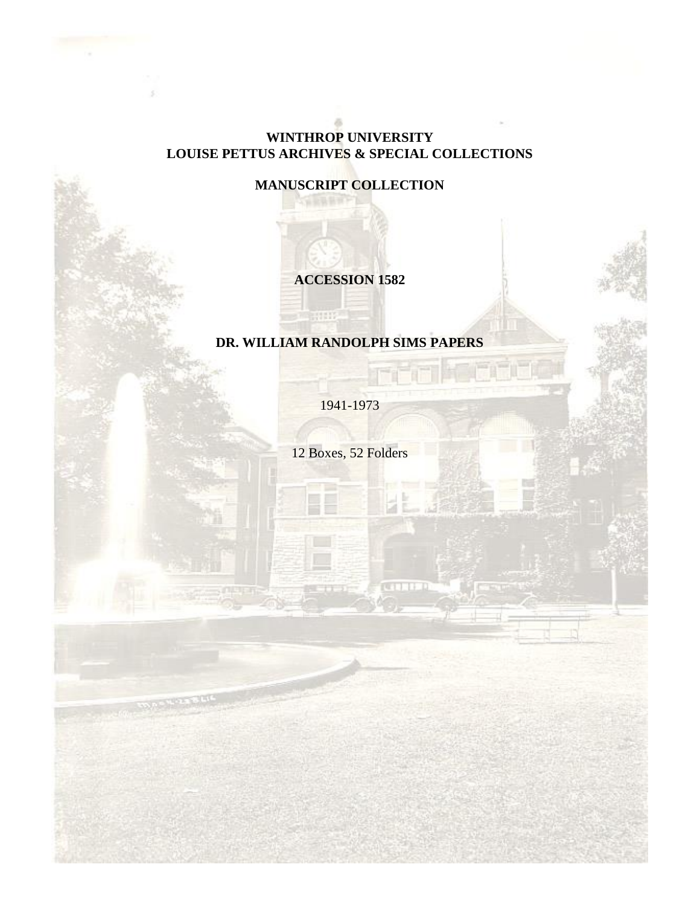#### **WINTHROP UNIVERSITY LOUISE PETTUS ARCHIVES & SPECIAL COLLECTIONS**

## **MANUSCRIPT COLLECTION**

### **ACCESSION 1582**

#### **DR. WILLIAM RANDOLPH SIMS PAPERS**

**HTML** 

1941-1973

12 Boxes, 52 Folders

**CATHER**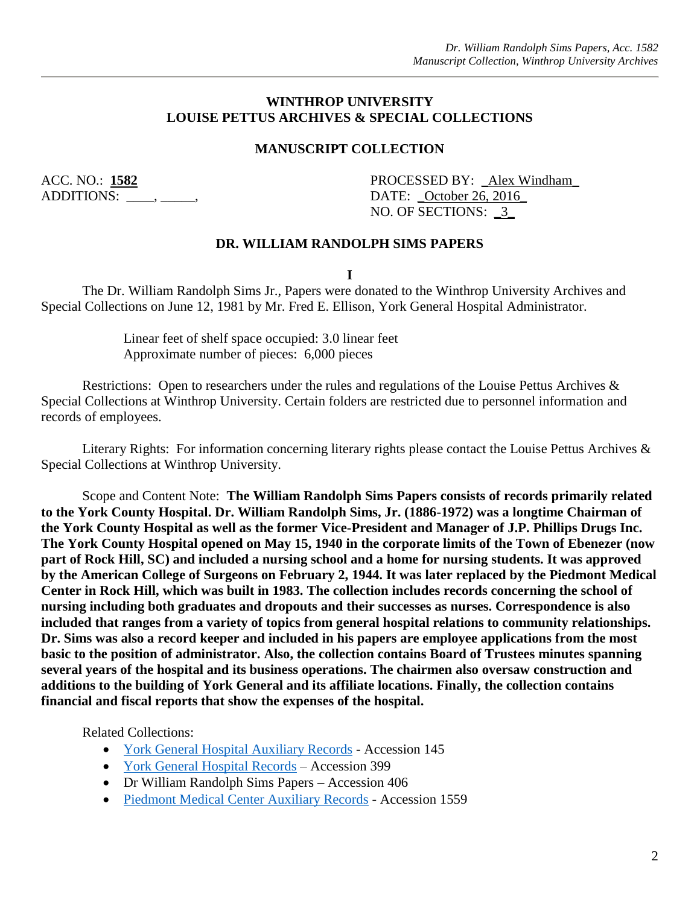#### **WINTHROP UNIVERSITY LOUISE PETTUS ARCHIVES & SPECIAL COLLECTIONS**

#### **MANUSCRIPT COLLECTION**

ACC. NO.: 1582 PROCESSED BY: Alex Windham ADDITIONS:  $\qquad \qquad , \qquad \qquad ,$ NO. OF SECTIONS: \_3\_

#### **DR. WILLIAM RANDOLPH SIMS PAPERS**

**I**

The Dr. William Randolph Sims Jr., Papers were donated to the Winthrop University Archives and Special Collections on June 12, 1981 by Mr. Fred E. Ellison, York General Hospital Administrator.

> Linear feet of shelf space occupied: 3.0 linear feet Approximate number of pieces: 6,000 pieces

Restrictions: Open to researchers under the rules and regulations of the Louise Pettus Archives & Special Collections at Winthrop University. Certain folders are restricted due to personnel information and records of employees.

Literary Rights: For information concerning literary rights please contact the Louise Pettus Archives & Special Collections at Winthrop University.

Scope and Content Note: **The William Randolph Sims Papers consists of records primarily related to the York County Hospital. Dr. William Randolph Sims, Jr. (1886-1972) was a longtime Chairman of the York County Hospital as well as the former Vice-President and Manager of J.P. Phillips Drugs Inc. The York County Hospital opened on May 15, 1940 in the corporate limits of the Town of Ebenezer (now part of Rock Hill, SC) and included a nursing school and a home for nursing students. It was approved by the American College of Surgeons on February 2, 1944. It was later replaced by the Piedmont Medical Center in Rock Hill, which was built in 1983. The collection includes records concerning the school of nursing including both graduates and dropouts and their successes as nurses. Correspondence is also included that ranges from a variety of topics from general hospital relations to community relationships. Dr. Sims was also a record keeper and included in his papers are employee applications from the most basic to the position of administrator. Also, the collection contains Board of Trustees minutes spanning several years of the hospital and its business operations. The chairmen also oversaw construction and additions to the building of York General and its affiliate locations. Finally, the collection contains financial and fiscal reports that show the expenses of the hospital.**

Related Collections:

- [York General Hospital Auxiliary Records](https://digitalcommons.winthrop.edu/manuscriptcollection_findingaids/255/) Accession 145
- [York General Hospital Records](https://digitalcommons.winthrop.edu/manuscriptcollection_findingaids/1319/) Accession 399
- Dr William Randolph Sims Papers Accession 406
- [Piedmont Medical Center Auxiliary Records](https://digitalcommons.winthrop.edu/manuscriptcollection_findingaids/741/) Accession 1559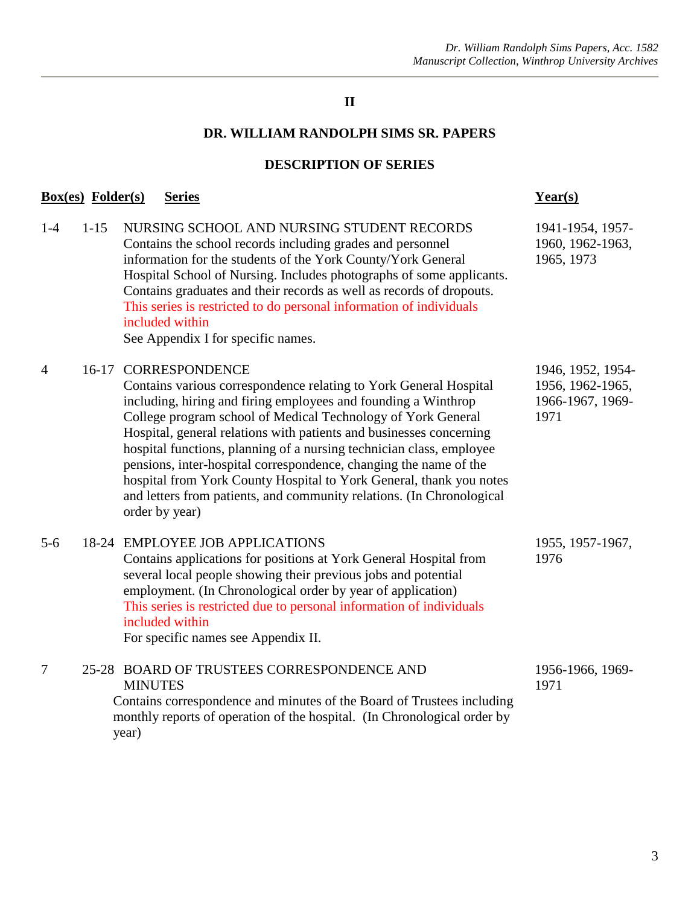#### **II**

#### **DR. WILLIAM RANDOLPH SIMS SR. PAPERS**

#### **DESCRIPTION OF SERIES**

## **Box(es) Folder(s) Series Year(s)**

year)

| $1-4$          | $1 - 15$ | NURSING SCHOOL AND NURSING STUDENT RECORDS<br>Contains the school records including grades and personnel<br>information for the students of the York County/York General<br>Hospital School of Nursing. Includes photographs of some applicants.<br>Contains graduates and their records as well as records of dropouts.<br>This series is restricted to do personal information of individuals<br>included within<br>See Appendix I for specific names.                                                                                                                                                           | 1941-1954, 1957-<br>1960, 1962-1963,<br>1965, 1973                |
|----------------|----------|--------------------------------------------------------------------------------------------------------------------------------------------------------------------------------------------------------------------------------------------------------------------------------------------------------------------------------------------------------------------------------------------------------------------------------------------------------------------------------------------------------------------------------------------------------------------------------------------------------------------|-------------------------------------------------------------------|
| $\overline{4}$ | $16-17$  | <b>CORRESPONDENCE</b><br>Contains various correspondence relating to York General Hospital<br>including, hiring and firing employees and founding a Winthrop<br>College program school of Medical Technology of York General<br>Hospital, general relations with patients and businesses concerning<br>hospital functions, planning of a nursing technician class, employee<br>pensions, inter-hospital correspondence, changing the name of the<br>hospital from York County Hospital to York General, thank you notes<br>and letters from patients, and community relations. (In Chronological<br>order by year) | 1946, 1952, 1954-<br>1956, 1962-1965,<br>1966-1967, 1969-<br>1971 |
| $5-6$          |          | 18-24 EMPLOYEE JOB APPLICATIONS<br>Contains applications for positions at York General Hospital from<br>several local people showing their previous jobs and potential<br>employment. (In Chronological order by year of application)<br>This series is restricted due to personal information of individuals<br>included within<br>For specific names see Appendix II.                                                                                                                                                                                                                                            | 1955, 1957-1967,<br>1976                                          |
| $\overline{7}$ |          | 25-28 BOARD OF TRUSTEES CORRESPONDENCE AND<br><b>MINUTES</b><br>Contains correspondence and minutes of the Board of Trustees including<br>monthly reports of operation of the hospital. (In Chronological order by                                                                                                                                                                                                                                                                                                                                                                                                 | 1956-1966, 1969-<br>1971                                          |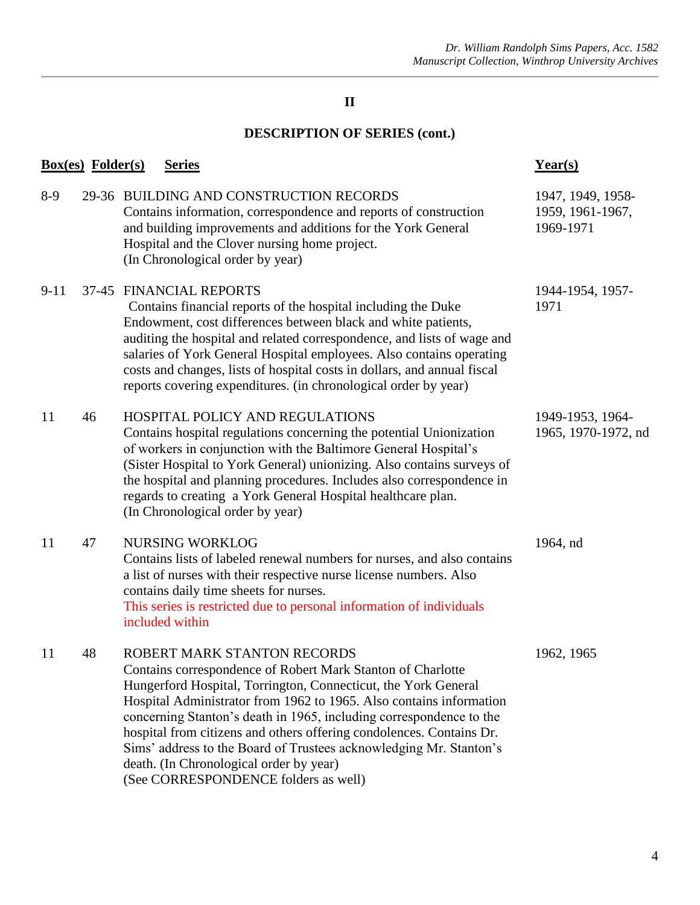#### **II**

# **DESCRIPTION OF SERIES (cont.)**

|          | <u>Box(es)</u> Folder(s) | <b>Series</b>                                                                                                                                                                                                                                                                                                                                                                                                                                                                                                                               | $Year(s)$                                          |
|----------|--------------------------|---------------------------------------------------------------------------------------------------------------------------------------------------------------------------------------------------------------------------------------------------------------------------------------------------------------------------------------------------------------------------------------------------------------------------------------------------------------------------------------------------------------------------------------------|----------------------------------------------------|
| $8-9$    |                          | 29-36 BUILDING AND CONSTRUCTION RECORDS<br>Contains information, correspondence and reports of construction<br>and building improvements and additions for the York General<br>Hospital and the Clover nursing home project.<br>(In Chronological order by year)                                                                                                                                                                                                                                                                            | 1947, 1949, 1958-<br>1959, 1961-1967,<br>1969-1971 |
| $9 - 11$ |                          | 37-45 FINANCIAL REPORTS<br>Contains financial reports of the hospital including the Duke<br>Endowment, cost differences between black and white patients,<br>auditing the hospital and related correspondence, and lists of wage and<br>salaries of York General Hospital employees. Also contains operating<br>costs and changes, lists of hospital costs in dollars, and annual fiscal<br>reports covering expenditures. (in chronological order by year)                                                                                 | 1944-1954, 1957-<br>1971                           |
| 11       | 46                       | HOSPITAL POLICY AND REGULATIONS<br>Contains hospital regulations concerning the potential Unionization<br>of workers in conjunction with the Baltimore General Hospital's<br>(Sister Hospital to York General) unionizing. Also contains surveys of<br>the hospital and planning procedures. Includes also correspondence in<br>regards to creating a York General Hospital healthcare plan.<br>(In Chronological order by year)                                                                                                            | 1949-1953, 1964-<br>1965, 1970-1972, nd            |
| 11       | 47                       | <b>NURSING WORKLOG</b><br>Contains lists of labeled renewal numbers for nurses, and also contains<br>a list of nurses with their respective nurse license numbers. Also<br>contains daily time sheets for nurses.<br>This series is restricted due to personal information of individuals<br>included within                                                                                                                                                                                                                                | 1964, nd                                           |
| 11       | 48                       | ROBERT MARK STANTON RECORDS<br>Contains correspondence of Robert Mark Stanton of Charlotte<br>Hungerford Hospital, Torrington, Connecticut, the York General<br>Hospital Administrator from 1962 to 1965. Also contains information<br>concerning Stanton's death in 1965, including correspondence to the<br>hospital from citizens and others offering condolences. Contains Dr.<br>Sims' address to the Board of Trustees acknowledging Mr. Stanton's<br>death. (In Chronological order by year)<br>(See CORRESPONDENCE folders as well) | 1962, 1965                                         |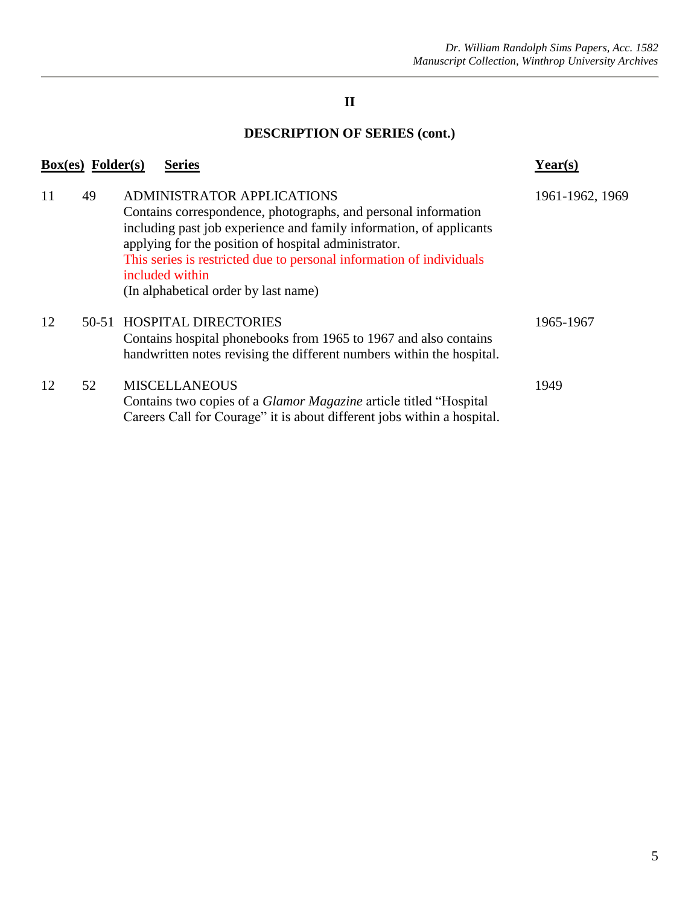### **II**

# **DESCRIPTION OF SERIES (cont.)**

|    | <b>Series</b>                                                                                                                                                                                                                                                                                                                                                         | Year(s)                                              |
|----|-----------------------------------------------------------------------------------------------------------------------------------------------------------------------------------------------------------------------------------------------------------------------------------------------------------------------------------------------------------------------|------------------------------------------------------|
| 49 | <b>ADMINISTRATOR APPLICATIONS</b><br>Contains correspondence, photographs, and personal information<br>including past job experience and family information, of applicants<br>applying for the position of hospital administrator.<br>This series is restricted due to personal information of individuals<br>included within<br>(In alphabetical order by last name) | 1961-1962, 1969                                      |
|    | Contains hospital phonebooks from 1965 to 1967 and also contains<br>handwritten notes revising the different numbers within the hospital.                                                                                                                                                                                                                             | 1965-1967                                            |
| 52 | <b>MISCELLANEOUS</b><br>Contains two copies of a Glamor Magazine article titled "Hospital<br>Careers Call for Courage" it is about different jobs within a hospital.                                                                                                                                                                                                  | 1949                                                 |
|    |                                                                                                                                                                                                                                                                                                                                                                       | $Box(es)$ Folder $(s)$<br>50-51 HOSPITAL DIRECTORIES |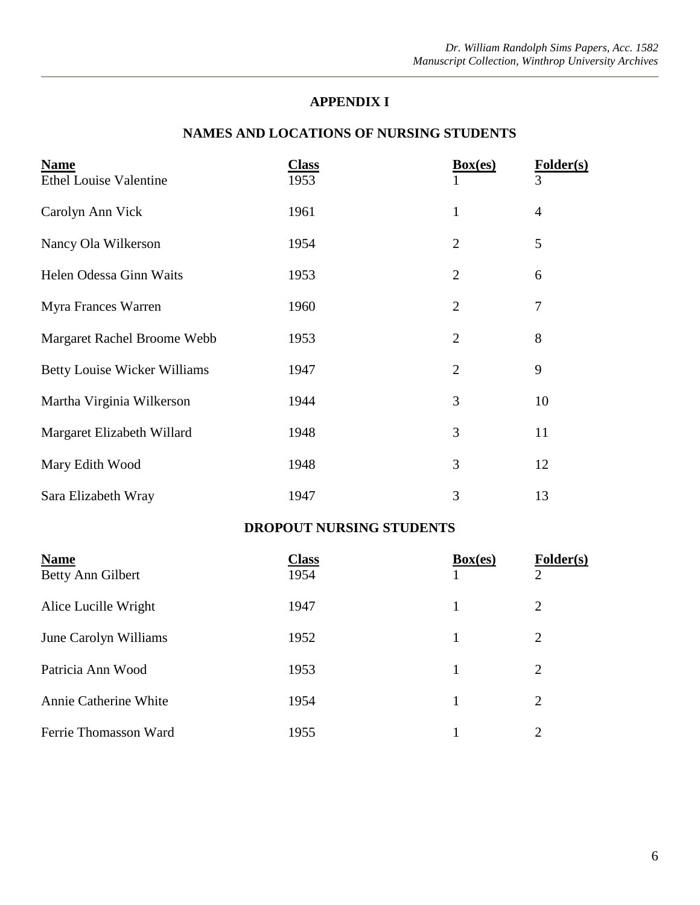#### **APPENDIX I**

#### **NAMES AND LOCATIONS OF NURSING STUDENTS**

| <b>Name</b>                         | <u>Class</u> | Box(es)        | Folder(s)      |
|-------------------------------------|--------------|----------------|----------------|
| <b>Ethel Louise Valentine</b>       | 1953         |                | 3              |
| Carolyn Ann Vick                    | 1961         | $\mathbf{1}$   | $\overline{4}$ |
| Nancy Ola Wilkerson                 | 1954         | $\overline{2}$ | 5              |
| Helen Odessa Ginn Waits             | 1953         | $\overline{2}$ | 6              |
| Myra Frances Warren                 | 1960         | $\overline{2}$ | 7              |
| Margaret Rachel Broome Webb         | 1953         | $\overline{2}$ | 8              |
| <b>Betty Louise Wicker Williams</b> | 1947         | $\overline{2}$ | 9              |
| Martha Virginia Wilkerson           | 1944         | 3              | 10             |
| Margaret Elizabeth Willard          | 1948         | 3              | 11             |
| Mary Edith Wood                     | 1948         | 3              | 12             |
| Sara Elizabeth Wray                 | 1947         | 3              | 13             |

#### **DROPOUT NURSING STUDENTS**

| <b>Name</b><br>Betty Ann Gilbert | <b>Class</b><br>1954 | Box(es) | Folder(s)<br>$\mathcal{D}_{\mathcal{L}}$ |
|----------------------------------|----------------------|---------|------------------------------------------|
| Alice Lucille Wright             | 1947                 |         | $\overline{2}$                           |
| June Carolyn Williams            | 1952                 |         | 2                                        |
| Patricia Ann Wood                | 1953                 |         | $\overline{2}$                           |
| Annie Catherine White            | 1954                 |         | $\overline{2}$                           |
| Ferrie Thomasson Ward            | 1955                 |         | $\overline{2}$                           |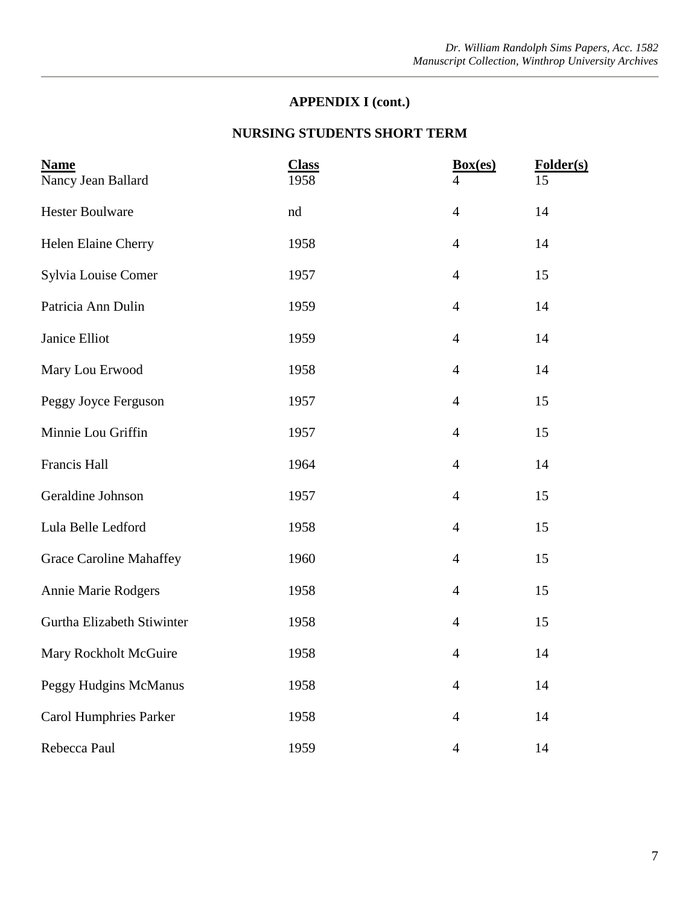#### **NURSING STUDENTS SHORT TERM**

| <b>Name</b><br>Nancy Jean Ballard | <b>Class</b><br>1958 | Box(es)<br>$\overline{4}$ | Folder(s)<br>15 |
|-----------------------------------|----------------------|---------------------------|-----------------|
| <b>Hester Boulware</b>            | nd                   | $\overline{4}$            | 14              |
| Helen Elaine Cherry               | 1958                 | $\overline{4}$            | 14              |
| Sylvia Louise Comer               | 1957                 | $\overline{4}$            | 15              |
| Patricia Ann Dulin                | 1959                 | $\overline{4}$            | 14              |
| Janice Elliot                     | 1959                 | $\overline{4}$            | 14              |
| Mary Lou Erwood                   | 1958                 | $\overline{4}$            | 14              |
| Peggy Joyce Ferguson              | 1957                 | $\overline{4}$            | 15              |
| Minnie Lou Griffin                | 1957                 | $\overline{4}$            | 15              |
| Francis Hall                      | 1964                 | $\overline{4}$            | 14              |
| Geraldine Johnson                 | 1957                 | $\overline{4}$            | 15              |
| Lula Belle Ledford                | 1958                 | $\overline{4}$            | 15              |
| <b>Grace Caroline Mahaffey</b>    | 1960                 | $\overline{4}$            | 15              |
| <b>Annie Marie Rodgers</b>        | 1958                 | $\overline{4}$            | 15              |
| Gurtha Elizabeth Stiwinter        | 1958                 | $\overline{4}$            | 15              |
| Mary Rockholt McGuire             | 1958                 | $\overline{4}$            | 14              |
| <b>Peggy Hudgins McManus</b>      | 1958                 | $\overline{4}$            | 14              |
| <b>Carol Humphries Parker</b>     | 1958                 | $\overline{4}$            | 14              |
| Rebecca Paul                      | 1959                 | $\overline{4}$            | 14              |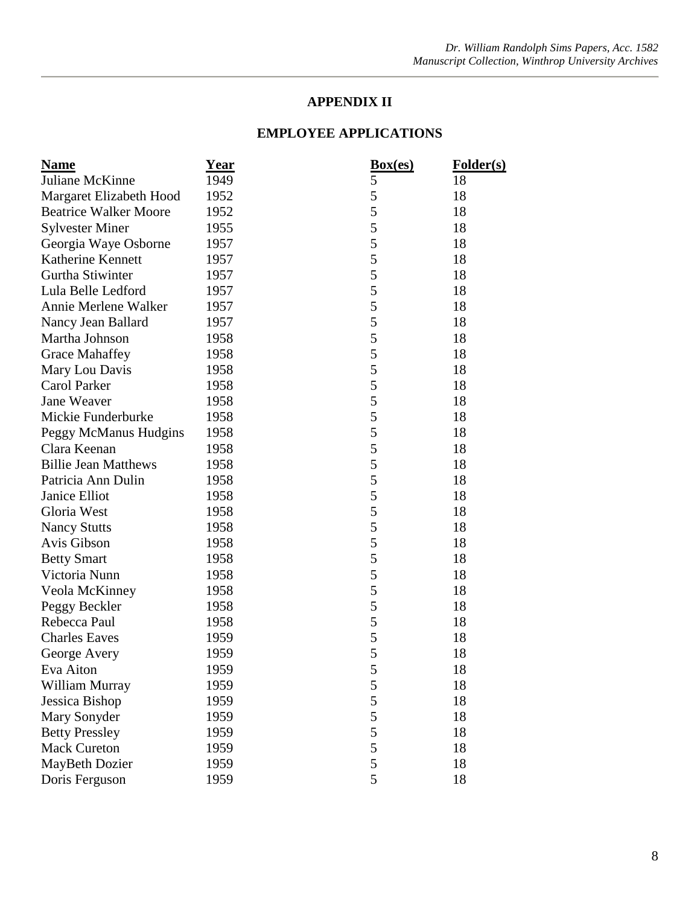#### **APPENDIX II**

| <b>Name</b>                  | <u>Year</u> | Box(es)       | <b>Folder(s)</b> |
|------------------------------|-------------|---------------|------------------|
| Juliane McKinne              | 1949        | 5             | 18               |
| Margaret Elizabeth Hood      | 1952        | 5             | 18               |
| <b>Beatrice Walker Moore</b> | 1952        | 5             | 18               |
| <b>Sylvester Miner</b>       | 1955        | 5             | 18               |
| Georgia Waye Osborne         | 1957        | 5             | 18               |
| Katherine Kennett            | 1957        | 5             | 18               |
| Gurtha Stiwinter             | 1957        | 5             | 18               |
| Lula Belle Ledford           | 1957        | 5             | 18               |
| Annie Merlene Walker         | 1957        | 5             | 18               |
| Nancy Jean Ballard           | 1957        | 5             | 18               |
| Martha Johnson               | 1958        | 5             | 18               |
| <b>Grace Mahaffey</b>        | 1958        | 5             | 18               |
| Mary Lou Davis               | 1958        | 5             | 18               |
| Carol Parker                 | 1958        | 5             | 18               |
| Jane Weaver                  | 1958        | 5             | 18               |
| Mickie Funderburke           | 1958        | 5             | 18               |
| Peggy McManus Hudgins        | 1958        | 5             | 18               |
| Clara Keenan                 | 1958        | 5             | 18               |
| <b>Billie Jean Matthews</b>  | 1958        | 5             | 18               |
| Patricia Ann Dulin           | 1958        | 5             | 18               |
| Janice Elliot                | 1958        | 5             | 18               |
| Gloria West                  | 1958        | 5             | 18               |
| <b>Nancy Stutts</b>          | 1958        | 5             | 18               |
| Avis Gibson                  | 1958        | $\mathfrak s$ | 18               |
| <b>Betty Smart</b>           | 1958        | 5             | 18               |
| Victoria Nunn                | 1958        | 5             | 18               |
| Veola McKinney               | 1958        | $\mathfrak s$ | 18               |
| Peggy Beckler                | 1958        | 5             | 18               |
| Rebecca Paul                 | 1958        | 5             | 18               |
| <b>Charles Eaves</b>         | 1959        | 5             | 18               |
| George Avery                 | 1959        | 5             | 18               |
| Eva Aiton                    | 1959        | 5             | 18               |
| William Murray               | 1959        | $\mathfrak s$ | 18               |
| Jessica Bishop               | 1959        | 5             | 18               |
| Mary Sonyder                 | 1959        | 5             | 18               |
| <b>Betty Pressley</b>        | 1959        | 5             | 18               |
| <b>Mack Cureton</b>          | 1959        | 5             | 18               |
| MayBeth Dozier               | 1959        | $\mathfrak s$ | 18               |
| Doris Ferguson               | 1959        | 5             | 18               |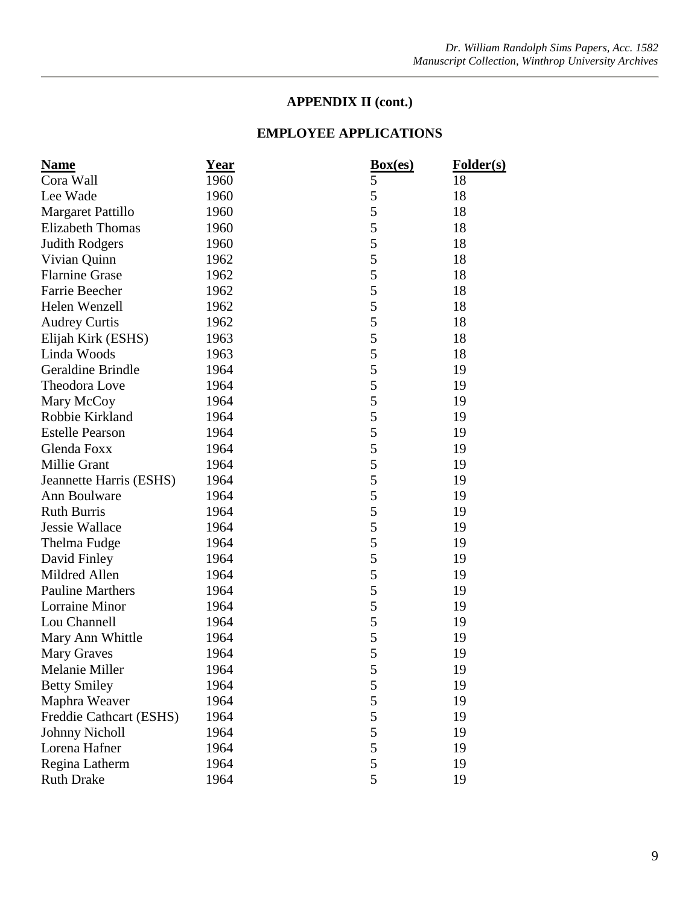| <b>Name</b>              | <u>Year</u> | Box(es) | Folder(s) |
|--------------------------|-------------|---------|-----------|
| Cora Wall                | 1960        | 5       | 18        |
| Lee Wade                 | 1960        | 5       | 18        |
| Margaret Pattillo        | 1960        | 5       | 18        |
| <b>Elizabeth Thomas</b>  | 1960        | 5       | 18        |
| <b>Judith Rodgers</b>    | 1960        | 5       | 18        |
| Vivian Quinn             | 1962        | 5       | 18        |
| <b>Flarnine Grase</b>    | 1962        | 5       | 18        |
| Farrie Beecher           | 1962        | 5       | 18        |
| Helen Wenzell            | 1962        | 5       | 18        |
| <b>Audrey Curtis</b>     | 1962        | 5       | 18        |
| Elijah Kirk (ESHS)       | 1963        | 5       | 18        |
| Linda Woods              | 1963        | 5       | 18        |
| <b>Geraldine Brindle</b> | 1964        | 5       | 19        |
| Theodora Love            | 1964        | 5       | 19        |
| Mary McCoy               | 1964        | 5       | 19        |
| Robbie Kirkland          | 1964        | 5       | 19        |
| <b>Estelle Pearson</b>   | 1964        | 5       | 19        |
| Glenda Foxx              | 1964        | 5       | 19        |
| Millie Grant             | 1964        | 5       | 19        |
| Jeannette Harris (ESHS)  | 1964        | 5       | 19        |
| Ann Boulware             | 1964        | 5       | 19        |
| <b>Ruth Burris</b>       | 1964        | 5       | 19        |
| Jessie Wallace           | 1964        | 5       | 19        |
| Thelma Fudge             | 1964        | 5       | 19        |
| David Finley             | 1964        | 5       | 19        |
| Mildred Allen            | 1964        | 5       | 19        |
| <b>Pauline Marthers</b>  | 1964        | 5       | 19        |
| Lorraine Minor           | 1964        | 5       | 19        |
| Lou Channell             | 1964        | 5       | 19        |
| Mary Ann Whittle         | 1964        | 5       | 19        |
| <b>Mary Graves</b>       | 1964        | 5       | 19        |
| Melanie Miller           | 1964        | 5       | 19        |
| <b>Betty Smiley</b>      | 1964        | 5       | 19        |
| Maphra Weaver            | 1964        | 5       | 19        |
| Freddie Cathcart (ESHS)  | 1964        | 5       | 19        |
| <b>Johnny Nicholl</b>    | 1964        | 5       | 19        |
| Lorena Hafner            | 1964        | 5       | 19        |
| Regina Latherm           | 1964        | 5       | 19        |
| <b>Ruth Drake</b>        | 1964        | 5       | 19        |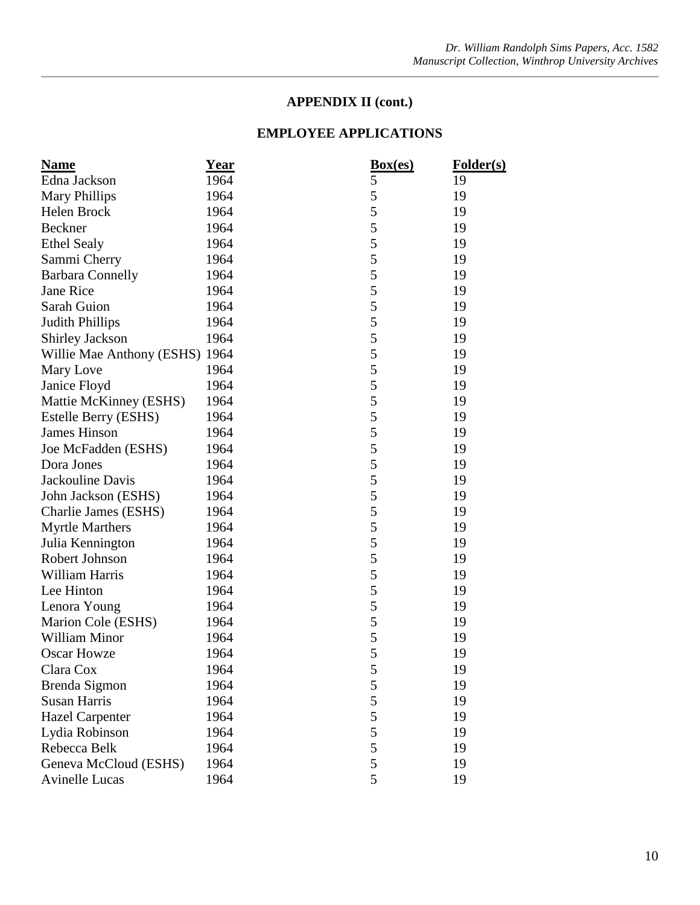| <b>Name</b>                    | Year | Box(es) | Folder(s) |
|--------------------------------|------|---------|-----------|
| Edna Jackson                   | 1964 | 5       | 19        |
| <b>Mary Phillips</b>           | 1964 | 5       | 19        |
| Helen Brock                    | 1964 | 5       | 19        |
| Beckner                        | 1964 | 5       | 19        |
| <b>Ethel Sealy</b>             | 1964 | 5       | 19        |
| Sammi Cherry                   | 1964 | 5       | 19        |
| <b>Barbara Connelly</b>        | 1964 | 5       | 19        |
| Jane Rice                      | 1964 | 5       | 19        |
| Sarah Guion                    | 1964 | 5       | 19        |
| <b>Judith Phillips</b>         | 1964 | 5       | 19        |
| <b>Shirley Jackson</b>         | 1964 | 5       | 19        |
| Willie Mae Anthony (ESHS) 1964 |      | 5       | 19        |
| Mary Love                      | 1964 | 5       | 19        |
| Janice Floyd                   | 1964 | 5       | 19        |
| Mattie McKinney (ESHS)         | 1964 | 5       | 19        |
| Estelle Berry (ESHS)           | 1964 | 5       | 19        |
| <b>James Hinson</b>            | 1964 | 5       | 19        |
| Joe McFadden (ESHS)            | 1964 | 5       | 19        |
| Dora Jones                     | 1964 | 5       | 19        |
| Jackouline Davis               | 1964 | 5       | 19        |
| John Jackson (ESHS)            | 1964 | 5       | 19        |
| Charlie James (ESHS)           | 1964 | 5       | 19        |
| <b>Myrtle Marthers</b>         | 1964 | 5       | 19        |
| Julia Kennington               | 1964 | 5       | 19        |
| Robert Johnson                 | 1964 | 5       | 19        |
| William Harris                 | 1964 | 5       | 19        |
| Lee Hinton                     | 1964 | 5       | 19        |
| Lenora Young                   | 1964 | 5       | 19        |
| Marion Cole (ESHS)             | 1964 | 5       | 19        |
| <b>William Minor</b>           | 1964 | 5       | 19        |
| <b>Oscar Howze</b>             | 1964 | 5       | 19        |
| Clara Cox                      | 1964 | 5       | 19        |
| Brenda Sigmon                  | 1964 | 5       | 19        |
| <b>Susan Harris</b>            | 1964 | 5       | 19        |
| <b>Hazel Carpenter</b>         | 1964 | 5       | 19        |
| Lydia Robinson                 | 1964 | 5       | 19        |
| Rebecca Belk                   | 1964 | 5       | 19        |
| Geneva McCloud (ESHS)          | 1964 | 5       | 19        |
| <b>Avinelle Lucas</b>          | 1964 | 5       | 19        |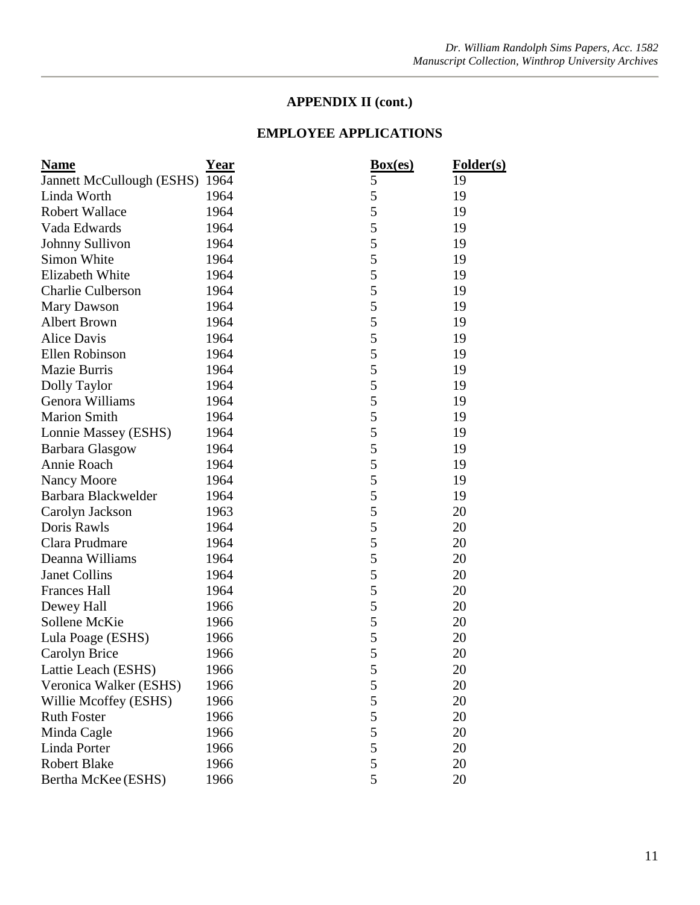| <b>Name</b>                    | <u>Year</u> | Box(es) | <b>Folder(s)</b> |
|--------------------------------|-------------|---------|------------------|
| Jannett McCullough (ESHS) 1964 |             | 5       | 19               |
| Linda Worth                    | 1964        | 5       | 19               |
| <b>Robert Wallace</b>          | 1964        | 5       | 19               |
| Vada Edwards                   | 1964        | 5       | 19               |
| Johnny Sullivon                | 1964        | 5       | 19               |
| Simon White                    | 1964        | 5       | 19               |
| Elizabeth White                | 1964        | 5       | 19               |
| <b>Charlie Culberson</b>       | 1964        | 5       | 19               |
| Mary Dawson                    | 1964        | 5       | 19               |
| <b>Albert Brown</b>            | 1964        | 5       | 19               |
| <b>Alice Davis</b>             | 1964        | 5       | 19               |
| Ellen Robinson                 | 1964        | 5       | 19               |
| Mazie Burris                   | 1964        | 5       | 19               |
| Dolly Taylor                   | 1964        | 5       | 19               |
| Genora Williams                | 1964        | 5       | 19               |
| <b>Marion Smith</b>            | 1964        | 5       | 19               |
| Lonnie Massey (ESHS)           | 1964        | 5       | 19               |
| Barbara Glasgow                | 1964        | 5       | 19               |
| Annie Roach                    | 1964        | 5       | 19               |
| Nancy Moore                    | 1964        | 5       | 19               |
| Barbara Blackwelder            | 1964        | 5       | 19               |
| Carolyn Jackson                | 1963        | 5       | 20               |
| Doris Rawls                    | 1964        | 5       | 20               |
| Clara Prudmare                 | 1964        | 5       | 20               |
| Deanna Williams                | 1964        | 5       | 20               |
| Janet Collins                  | 1964        | 5       | 20               |
| <b>Frances Hall</b>            | 1964        | 5       | 20               |
| Dewey Hall                     | 1966        | 5       | 20               |
| Sollene McKie                  | 1966        | 5       | 20               |
| Lula Poage (ESHS)              | 1966        | 5       | 20               |
| Carolyn Brice                  | 1966        | 5       | 20               |
| Lattie Leach (ESHS)            | 1966        | 5       | 20               |
| Veronica Walker (ESHS)         | 1966        | 5       | 20               |
| Willie Mcoffey (ESHS)          | 1966        | 5       | 20               |
| <b>Ruth Foster</b>             | 1966        | 5       | 20               |
| Minda Cagle                    | 1966        | 5       | 20               |
| Linda Porter                   | 1966        | 5       | 20               |
| <b>Robert Blake</b>            | 1966        | 5       | 20               |
| Bertha McKee (ESHS)            | 1966        | 5       | 20               |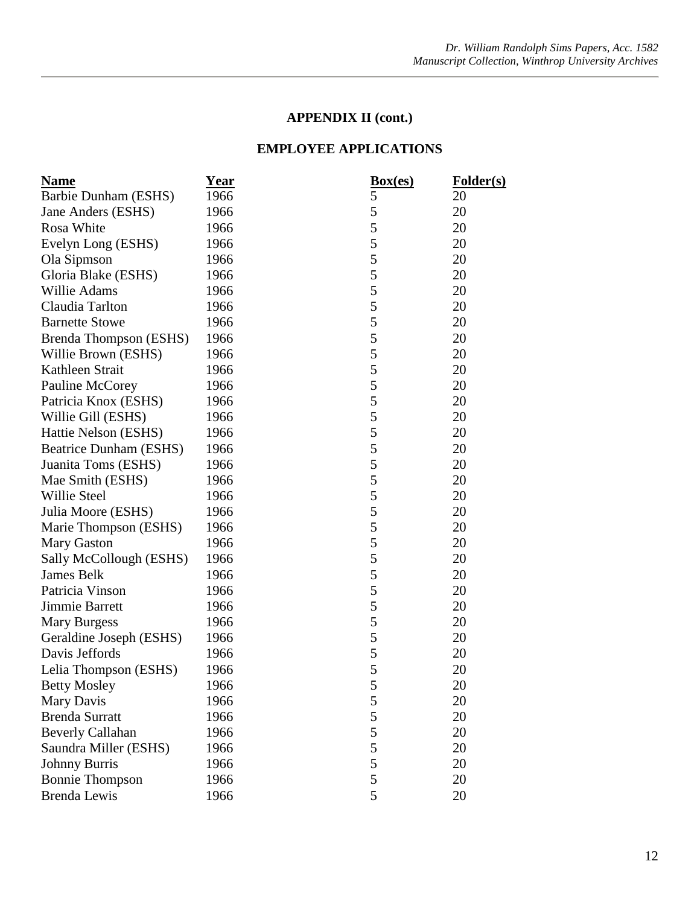| <u>Name</u>                   | <u>Year</u> | Box(es) | Folder(s) |
|-------------------------------|-------------|---------|-----------|
| Barbie Dunham (ESHS)          | 1966        | 5       | 20        |
| Jane Anders (ESHS)            | 1966        | 5       | 20        |
| Rosa White                    | 1966        | 5       | 20        |
| Evelyn Long (ESHS)            | 1966        | 5       | 20        |
| Ola Sipmson                   | 1966        | 5       | 20        |
| Gloria Blake (ESHS)           | 1966        | 5       | 20        |
| Willie Adams                  | 1966        | 5       | 20        |
| Claudia Tarlton               | 1966        | 5       | 20        |
| <b>Barnette Stowe</b>         | 1966        | 5       | 20        |
| Brenda Thompson (ESHS)        | 1966        | 5       | 20        |
| Willie Brown (ESHS)           | 1966        | 5       | 20        |
| Kathleen Strait               | 1966        | 5       | 20        |
| Pauline McCorey               | 1966        | 5       | 20        |
| Patricia Knox (ESHS)          | 1966        | 5       | 20        |
| Willie Gill (ESHS)            | 1966        | 5       | 20        |
| Hattie Nelson (ESHS)          | 1966        | 5       | 20        |
| <b>Beatrice Dunham (ESHS)</b> | 1966        | 5       | 20        |
| Juanita Toms (ESHS)           | 1966        | 5       | 20        |
| Mae Smith (ESHS)              | 1966        | 5       | 20        |
| Willie Steel                  | 1966        | 5       | 20        |
| Julia Moore (ESHS)            | 1966        | 5       | 20        |
| Marie Thompson (ESHS)         | 1966        | 5       | 20        |
| <b>Mary Gaston</b>            | 1966        | 5       | 20        |
| Sally McCollough (ESHS)       | 1966        | 5       | 20        |
| <b>James Belk</b>             | 1966        | 5       | 20        |
| Patricia Vinson               | 1966        | 5       | 20        |
| Jimmie Barrett                | 1966        | 5       | 20        |
| <b>Mary Burgess</b>           | 1966        | 5       | 20        |
| Geraldine Joseph (ESHS)       | 1966        | 5       | 20        |
| Davis Jeffords                | 1966        | 5       | 20        |
| Lelia Thompson (ESHS)         | 1966        | 5       | 20        |
| <b>Betty Mosley</b>           | 1966        | 5       | 20        |
| Mary Davis                    | 1966        | 5       | 20        |
| <b>Brenda Surratt</b>         | 1966        | 5       | 20        |
| <b>Beverly Callahan</b>       | 1966        | 5       | 20        |
| Saundra Miller (ESHS)         | 1966        | 5       | 20        |
| <b>Johnny Burris</b>          | 1966        | 5       | 20        |
| <b>Bonnie Thompson</b>        | 1966        | 5       | 20        |
| <b>Brenda Lewis</b>           | 1966        | 5       | 20        |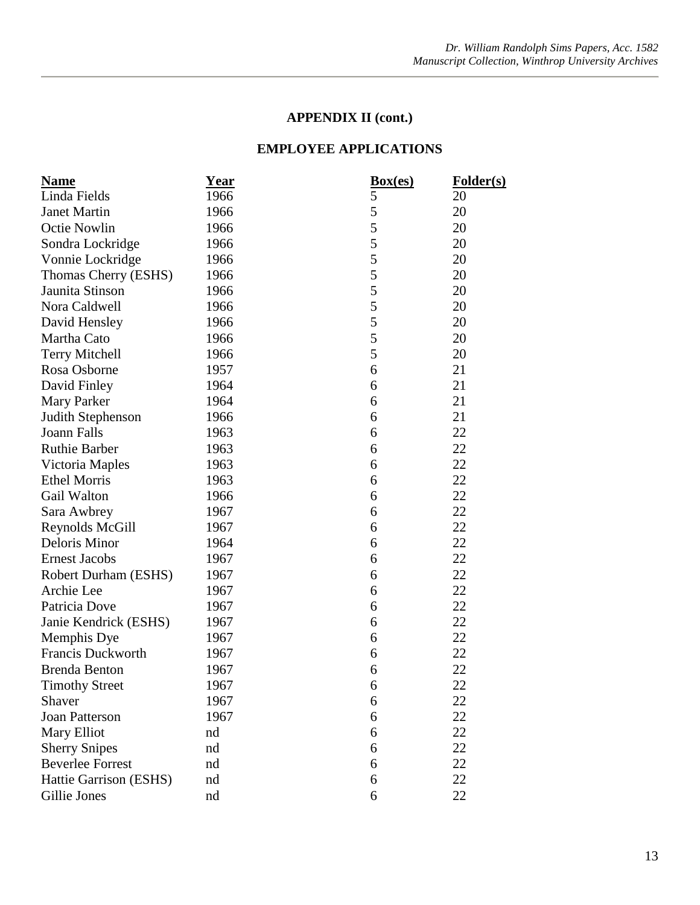| <b>Name</b>             | <u>Year</u> | Box(es) | Folder(s) |
|-------------------------|-------------|---------|-----------|
| Linda Fields            | 1966        | 5       | 20        |
| <b>Janet Martin</b>     | 1966        | 5       | 20        |
| <b>Octie Nowlin</b>     | 1966        | 5       | 20        |
| Sondra Lockridge        | 1966        | 5       | 20        |
| Vonnie Lockridge        | 1966        | 5       | 20        |
| Thomas Cherry (ESHS)    | 1966        | 5       | 20        |
| Jaunita Stinson         | 1966        | 5       | 20        |
| Nora Caldwell           | 1966        | 5       | 20        |
| David Hensley           | 1966        | 5       | 20        |
| Martha Cato             | 1966        | 5       | 20        |
| <b>Terry Mitchell</b>   | 1966        | 5       | 20        |
| Rosa Osborne            | 1957        | 6       | 21        |
| David Finley            | 1964        | 6       | 21        |
| <b>Mary Parker</b>      | 1964        | 6       | 21        |
| Judith Stephenson       | 1966        | 6       | 21        |
| <b>Joann Falls</b>      | 1963        | 6       | 22        |
| <b>Ruthie Barber</b>    | 1963        | 6       | 22        |
| Victoria Maples         | 1963        | 6       | 22        |
| <b>Ethel Morris</b>     | 1963        | 6       | 22        |
| Gail Walton             | 1966        | 6       | 22        |
| Sara Awbrey             | 1967        | 6       | 22        |
| Reynolds McGill         | 1967        | 6       | 22        |
| Deloris Minor           | 1964        | 6       | 22        |
| <b>Ernest Jacobs</b>    | 1967        | 6       | 22        |
| Robert Durham (ESHS)    | 1967        | 6       | 22        |
| Archie Lee              | 1967        | 6       | 22        |
| Patricia Dove           | 1967        | 6       | 22        |
| Janie Kendrick (ESHS)   | 1967        | 6       | 22        |
| Memphis Dye             | 1967        | 6       | 22        |
| Francis Duckworth       | 1967        | 6       | 22        |
| <b>Brenda Benton</b>    | 1967        | 6       | 22        |
| <b>Timothy Street</b>   | 1967        | 6       | 22        |
| Shaver                  | 1967        | 6       | 22        |
| <b>Joan Patterson</b>   | 1967        | 6       | 22        |
| Mary Elliot             | nd          | 6       | 22        |
| <b>Sherry Snipes</b>    | nd          | 6       | 22        |
| <b>Beverlee Forrest</b> | nd          | 6       | 22        |
| Hattie Garrison (ESHS)  | nd          | 6       | 22        |
| Gillie Jones            | nd          | 6       | 22        |